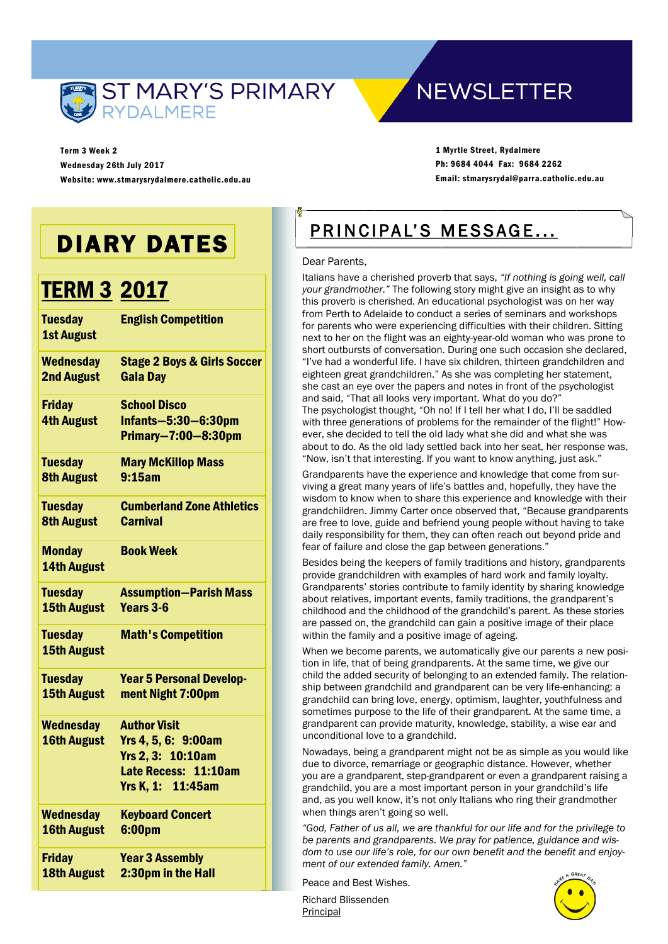

**NEWSLETTER** 

Term 3 Week 2 Wednesday 26th July 2017 Website: www.stmarysrydalmere.catholic.edu.au

1 Myrtle Street, Rydalmere Ph: 9684 4044 Fax: 9684 2262 Email: stmarysrydal@parra.catholic.edu.au

## DIARY DATES

## TERM 3 2017

| <b>Tuesday</b><br><b>1st August</b>    | <b>English Competition</b>                                                                                   |
|----------------------------------------|--------------------------------------------------------------------------------------------------------------|
| <b>Wednesday</b>                       | <b>Stage 2 Boys &amp; Girls Soccer</b>                                                                       |
| <b>2nd August</b>                      | <b>Gala Day</b>                                                                                              |
| <b>Friday</b><br><b>4th August</b>     | <b>School Disco</b><br>Infants-5:30-6:30pm<br>Primary-7:00-8:30pm                                            |
| <b>Tuesday</b>                         | <b>Mary McKillop Mass</b>                                                                                    |
| <b>8th August</b>                      | 9:15am                                                                                                       |
| <b>Tuesday</b>                         | <b>Cumberland Zone Athletics</b>                                                                             |
| <b>8th August</b>                      | <b>Carnival</b>                                                                                              |
| <b>Monday</b><br><b>14th August</b>    | <b>Book Week</b>                                                                                             |
| <b>Tuesday</b>                         | <b>Assumption-Parish Mass</b>                                                                                |
| <b>15th August</b>                     | Years 3-6                                                                                                    |
| <b>Tuesday</b><br><b>15th August</b>   | <b>Math's Competition</b>                                                                                    |
| <b>Tuesday</b>                         | <b>Year 5 Personal Develop-</b>                                                                              |
| <b>15th August</b>                     | ment Night 7:00pm                                                                                            |
| <b>Wednesday</b><br><b>16th August</b> | <b>Author Visit</b><br>Yrs 4, 5, 6: 9:00am<br>Yrs 2, 3: 10:10am<br>Late Recess: 11:10am<br>Yrs K, 1: 11:45am |
| <b>Wednesday</b>                       | <b>Keyboard Concert</b>                                                                                      |
| <b>16th August</b>                     | 6:00pm                                                                                                       |
| <b>Friday</b>                          | <b>Year 3 Assembly</b>                                                                                       |
| <b>18th August</b>                     | 2:30pm in the Hall                                                                                           |

## PRINCIPAL'S MESSAGE...

#### Dear Parents,

Italians have a cherished proverb that says, *"If nothing is going well, call your grandmother."* The following story might give an insight as to why this proverb is cherished. An educational psychologist was on her way from Perth to Adelaide to conduct a series of seminars and workshops for parents who were experiencing difficulties with their children. Sitting next to her on the flight was an eighty-year-old woman who was prone to short outbursts of conversation. During one such occasion she declared, "I've had a wonderful life. I have six children, thirteen grandchildren and eighteen great grandchildren." As she was completing her statement, she cast an eye over the papers and notes in front of the psychologist and said, "That all looks very important. What do you do?" The psychologist thought, "Oh no! If I tell her what I do, I'll be saddled with three generations of problems for the remainder of the flight!" However, she decided to tell the old lady what she did and what she was about to do. As the old lady settled back into her seat, her response was, "Now, isn't that interesting. If you want to know anything, just ask."

Grandparents have the experience and knowledge that come from surviving a great many years of life's battles and, hopefully, they have the wisdom to know when to share this experience and knowledge with their grandchildren. Jimmy Carter once observed that, "Because grandparents are free to love, guide and befriend young people without having to take daily responsibility for them, they can often reach out beyond pride and fear of failure and close the gap between generations."

Besides being the keepers of family traditions and history, grandparents provide grandchildren with examples of hard work and family loyalty. Grandparents' stories contribute to family identity by sharing knowledge about relatives, important events, family traditions, the grandparent's childhood and the childhood of the grandchild's parent. As these stories are passed on, the grandchild can gain a positive image of their place within the family and a positive image of ageing.

When we become parents, we automatically give our parents a new position in life, that of being grandparents. At the same time, we give our child the added security of belonging to an extended family. The relationship between grandchild and grandparent can be very life-enhancing: a grandchild can bring love, energy, optimism, laughter, youthfulness and sometimes purpose to the life of their grandparent. At the same time, a grandparent can provide maturity, knowledge, stability, a wise ear and unconditional love to a grandchild.

Nowadays, being a grandparent might not be as simple as you would like due to divorce, remarriage or geographic distance. However, whether you are a grandparent, step-grandparent or even a grandparent raising a grandchild, you are a most important person in your grandchild's life and, as you well know, it's not only Italians who ring their grandmother when things aren't going so well.

*"God, Father of us all, we are thankful for our life and for the privilege to be parents and grandparents. We pray for patience, guidance and wisdom to use our life's role, for our own benefit and the benefit and enjoyment of our extended family. Amen."* 

Peace and Best Wishes.

Richard Blissenden **Principal** 

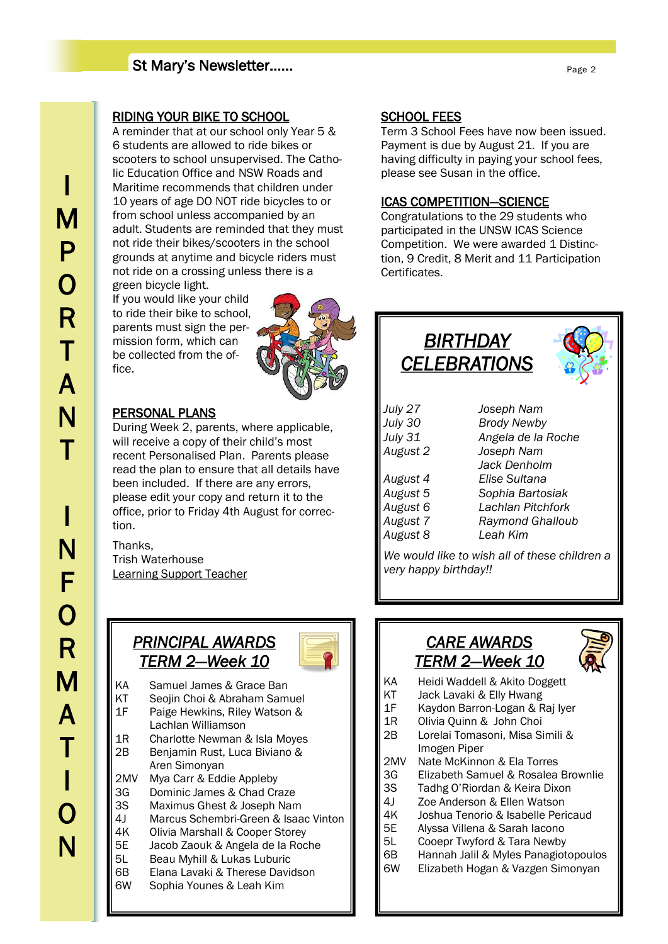## St Mary's Newsletter……

## RIDING YOUR BIKE TO SCHOOL

A reminder that at our school only Year 5 & 6 students are allowed to ride bikes or scooters to school unsupervised. The Catholic Education Office and NSW Roads and Maritime recommends that children under 10 years of age DO NOT ride bicycles to or from school unless accompanied by an adult. Students are reminded that they must not ride their bikes/scooters in the school grounds at anytime and bicycle riders must not ride on a crossing unless there is a green bicycle light.

If you would like your child to ride their bike to school, parents must sign the permission form, which can be collected from the office.



## PERSONAL PLANS

During Week 2, parents, where applicable, will receive a copy of their child's most recent Personalised Plan. Parents please read the plan to ensure that all details have been included. If there are any errors, please edit your copy and return it to the office, prior to Friday 4th August for correction.

Thanks, Trish Waterhouse Learning Support Teacher

## *PRINCIPAL AWARDS TERM 2—Week 10*



- KA Samuel James & Grace Ban
- KT Seojin Choi & Abraham Samuel
- 1F Paige Hewkins, Riley Watson & Lachlan Williamson
- 1R Charlotte Newman & Isla Moyes 2B Benjamin Rust, Luca Biviano & Aren Simonyan
- 2MV Mya Carr & Eddie Appleby
- 3G Dominic James & Chad Craze
- 3S Maximus Ghest & Joseph Nam
- 4J Marcus Schembri-Green & Isaac Vinton
- 4K Olivia Marshall & Cooper Storey
- 5E Jacob Zaouk & Angela de la Roche
- 5L Beau Myhill & Lukas Luburic
- 6B Elana Lavaki & Therese Davidson
- 6W Sophia Younes & Leah Kim

#### SCHOOL FEES

 having difficulty in paying your school fees, Term 3 School Fees have now been issued. Payment is due by August 21. If you are please see Susan in the office.

#### ICAS COMPETITION—SCIENCE

Congratulations to the 29 students who participated in the UNSW ICAS Science Competition. We were awarded 1 Distinction, 9 Credit, 8 Merit and 11 Participation Certificates.

## *BIRTHDAY CELEBRATIONS*



| Joseph Nam              |  |
|-------------------------|--|
| <b>Brody Newby</b>      |  |
| Angela de la Roche      |  |
| Joseph Nam              |  |
| Jack Denholm            |  |
| Elise Sultana           |  |
| Sophia Bartosiak        |  |
| Lachlan Pitchfork       |  |
| <b>Raymond Ghalloub</b> |  |
| Leah Kim                |  |
|                         |  |

*We would like to wish all of these children a very happy birthday!!*

## *CARE AWARDS TERM 2—Week 10*



- KA Heidi Waddell & Akito Doggett
- KT Jack Lavaki & Elly Hwang
- 1F Kaydon Barron-Logan & Raj Iyer
- 1R Olivia Quinn & John Choi
- 2B Lorelai Tomasoni, Misa Simili & Imogen Piper
- 2MV Nate McKinnon & Ela Torres
- 3G Elizabeth Samuel & Rosalea Brownlie
- 3S Tadhg O'Riordan & Keira Dixon
- 4J Zoe Anderson & Ellen Watson
- 4K Joshua Tenorio & Isabelle Pericaud
- 5E Alyssa Villena & Sarah Iacono
- 5L Cooepr Twyford & Tara Newby
- 6B Hannah Jalil & Myles Panagiotopoulos
- 6W Elizabeth Hogan & Vazgen Simonyan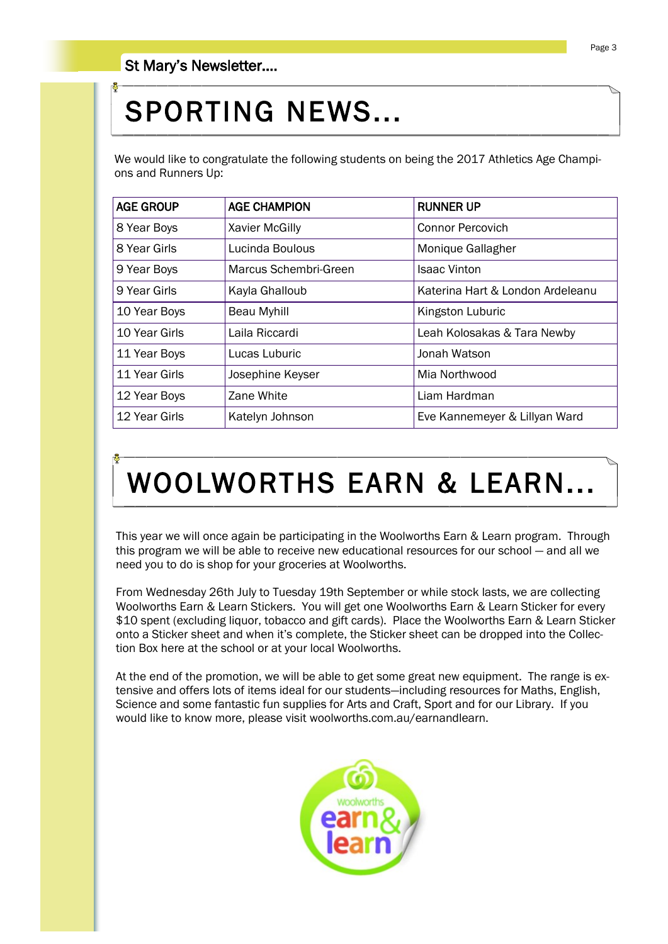# SPORTING NEWS...

We would like to congratulate the following students on being the 2017 Athletics Age Champions and Runners Up:

| <b>AGE GROUP</b> | <b>AGE CHAMPION</b>   | <b>RUNNER UP</b>                 |
|------------------|-----------------------|----------------------------------|
| 8 Year Boys      | Xavier McGilly        | <b>Connor Percovich</b>          |
| 8 Year Girls     | Lucinda Boulous       | Monique Gallagher                |
| 9 Year Boys      | Marcus Schembri-Green | <b>Isaac Vinton</b>              |
| 9 Year Girls     | Kayla Ghalloub        | Katerina Hart & London Ardeleanu |
| 10 Year Boys     | Beau Myhill           | Kingston Luburic                 |
| 10 Year Girls    | Laila Riccardi        | Leah Kolosakas & Tara Newby      |
| 11 Year Boys     | Lucas Luburic         | Jonah Watson                     |
| 11 Year Girls    | Josephine Keyser      | Mia Northwood                    |
| 12 Year Boys     | Zane White            | Liam Hardman                     |
| 12 Year Girls    | Katelyn Johnson       | Eve Kannemeyer & Lillyan Ward    |

# WOOLWORTHS EARN & LEARN...

This year we will once again be participating in the Woolworths Earn & Learn program. Through this program we will be able to receive new educational resources for our school — and all we need you to do is shop for your groceries at Woolworths.

From Wednesday 26th July to Tuesday 19th September or while stock lasts, we are collecting Woolworths Earn & Learn Stickers. You will get one Woolworths Earn & Learn Sticker for every \$10 spent (excluding liquor, tobacco and gift cards). Place the Woolworths Earn & Learn Sticker onto a Sticker sheet and when it's complete, the Sticker sheet can be dropped into the Collection Box here at the school or at your local Woolworths.

At the end of the promotion, we will be able to get some great new equipment. The range is extensive and offers lots of items ideal for our students—including resources for Maths, English, Science and some fantastic fun supplies for Arts and Craft, Sport and for our Library. If you would like to know more, please visit woolworths.com.au/earnandlearn.